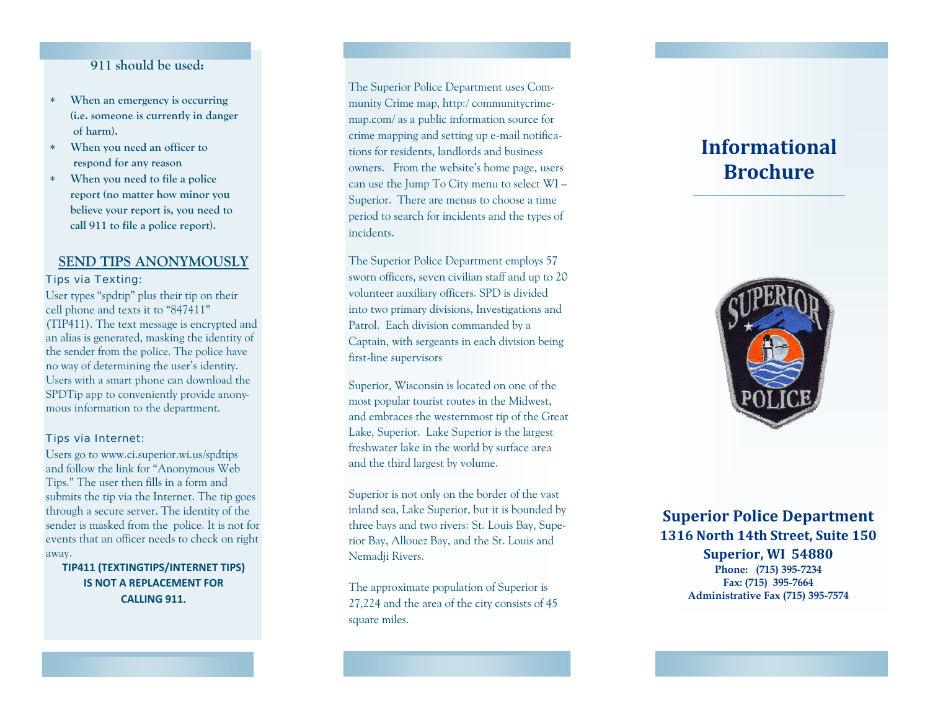## **911 should be used:**

- $\ast$  **When an emergency is occurring (i.e. someone is currently in danger of harm).**
- $\ast$  **When you need an officer to respond for any reason**
- $\ast$  **When you need to file a police report (no matter how minor you believe your report is, you need to call 911 to file a police report).**

## **SEND TIPS ANONYMOUSLY**

### Tips via Texting:

User types "spdtip" plus their tip on their cell phone and texts it to "847411" (TIP411). The text message is encrypted and an alias is generated, masking the identity of the sender from the police. The police have no way of determining the user's identity. Users with a smart phone can download the SPDTip app to conveniently provide anonymous information to the department.

#### Tips via Internet:

Users go to www.ci.superior.wi.us/spdtips and follow the link for "Anonymous Web Tips." The user then fills in a form and submits the tip via the Internet. The tip goes through a secure server. The identity of the sender is masked from the police. It is not for events that an officer needs to check on right away.

**TIP411 (TEXTINGTIPS/INTERNET TIPS) IS NOTA REPLACEMENT FOR CALLING 911.**

## The Superior Police Department uses Community Crime map, http:/ communitycrimemap.com/ as a public information source for crime mapping and setting up e-mail notifications for residents, landlords and business owners. From the website's home page, users can use the Jump To City menu to select WI – Superior. There are menus to choose a time period to search for incidents and the types of incidents.

The Superior Police Department employs 57 sworn officers, seven civilian staff and up to 20 volunteer auxiliary officers. SPD is divided into two primary divisions, Investigations and Patrol. Each division commanded by a Captain, with sergeants in each division being first-line supervisors

Superior, Wisconsin is located on one of the most popular tourist routes in the Midwest, and embraces the westernmost tip of the Great Lake, Superior. Lake Superior is the largest freshwater lake in the world by surface area and the third largest by volume.

Superior is not only on the border of the vast inland sea, Lake Superior, but it is bounded by three bays and two rivers: St. Louis Bay, Superior Bay, Allouez Bay, and the St. Louis and Nemadii Rivers.

The approximate population of Superior is 27,224 and the area of the city consists of 45 square miles.

# **InformationalBrochure**



## **Superior Police Department 1316 North 14th Street, Suite 150**

**Superior, WI 54880 Phone: (715) 395-7234 Fax: (715) 395-7664 Administrative Fax (715) 395-7574**